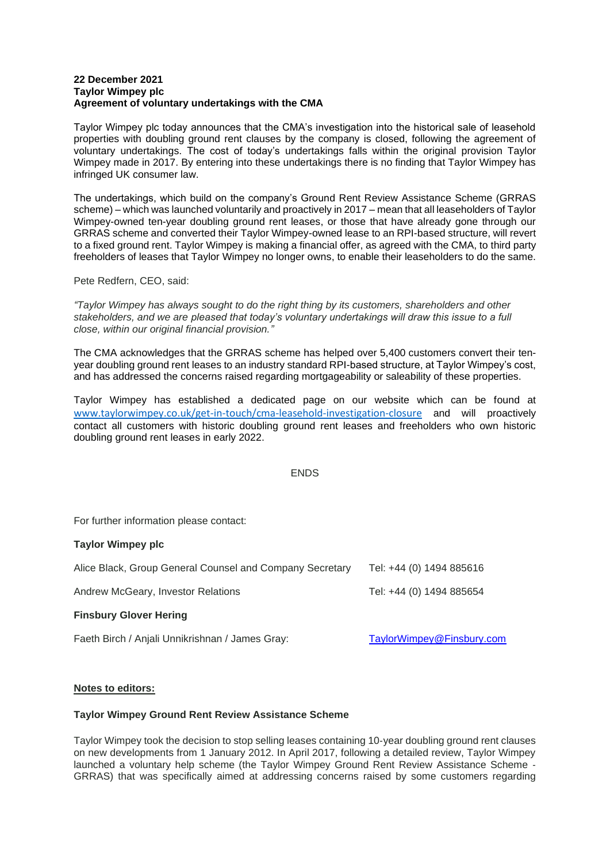#### **22 December 2021 Taylor Wimpey plc Agreement of voluntary undertakings with the CMA**

Taylor Wimpey plc today announces that the CMA's investigation into the historical sale of leasehold properties with doubling ground rent clauses by the company is closed, following the agreement of voluntary undertakings. The cost of today's undertakings falls within the original provision Taylor Wimpey made in 2017. By entering into these undertakings there is no finding that Taylor Wimpey has infringed UK consumer law.

The undertakings, which build on the company's Ground Rent Review Assistance Scheme (GRRAS scheme) – which was launched voluntarily and proactively in 2017 – mean that all leaseholders of Taylor Wimpey-owned ten-year doubling ground rent leases, or those that have already gone through our GRRAS scheme and converted their Taylor Wimpey-owned lease to an RPI-based structure, will revert to a fixed ground rent. Taylor Wimpey is making a financial offer, as agreed with the CMA, to third party freeholders of leases that Taylor Wimpey no longer owns, to enable their leaseholders to do the same.

Pete Redfern, CEO, said:

*"Taylor Wimpey has always sought to do the right thing by its customers, shareholders and other stakeholders, and we are pleased that today's voluntary undertakings will draw this issue to a full close, within our original financial provision."*

The CMA acknowledges that the GRRAS scheme has helped over 5,400 customers convert their tenyear doubling ground rent leases to an industry standard RPI-based structure, at Taylor Wimpey's cost, and has addressed the concerns raised regarding mortgageability or saleability of these properties.

Taylor Wimpey has established a dedicated page on our website which can be found at [www.taylorwimpey.co.uk/get-in-touch/cma-leasehold-investigation-closure](https://www.taylorwimpey.co.uk/get-in-touch/cma-leasehold-investigation-closure) and will proactively contact all customers with historic doubling ground rent leases and freeholders who own historic doubling ground rent leases in early 2022.

# **FNDS**

For further information please contact:

### **Taylor Wimpey plc**

| Alice Black, Group General Counsel and Company Secretary | Tel: +44 (0) 1494 885616  |
|----------------------------------------------------------|---------------------------|
| Andrew McGeary, Investor Relations                       | Tel: +44 (0) 1494 885654  |
| <b>Finsbury Glover Hering</b>                            |                           |
| Faeth Birch / Anjali Unnikrishnan / James Gray:          | TaylorWimpey@Finsbury.com |

#### **Notes to editors:**

## **Taylor Wimpey Ground Rent Review Assistance Scheme**

Taylor Wimpey took the decision to stop selling leases containing 10‐year doubling ground rent clauses on new developments from 1 January 2012. In April 2017, following a detailed review, Taylor Wimpey launched a voluntary help scheme (the Taylor Wimpey Ground Rent Review Assistance Scheme ‐ GRRAS) that was specifically aimed at addressing concerns raised by some customers regarding